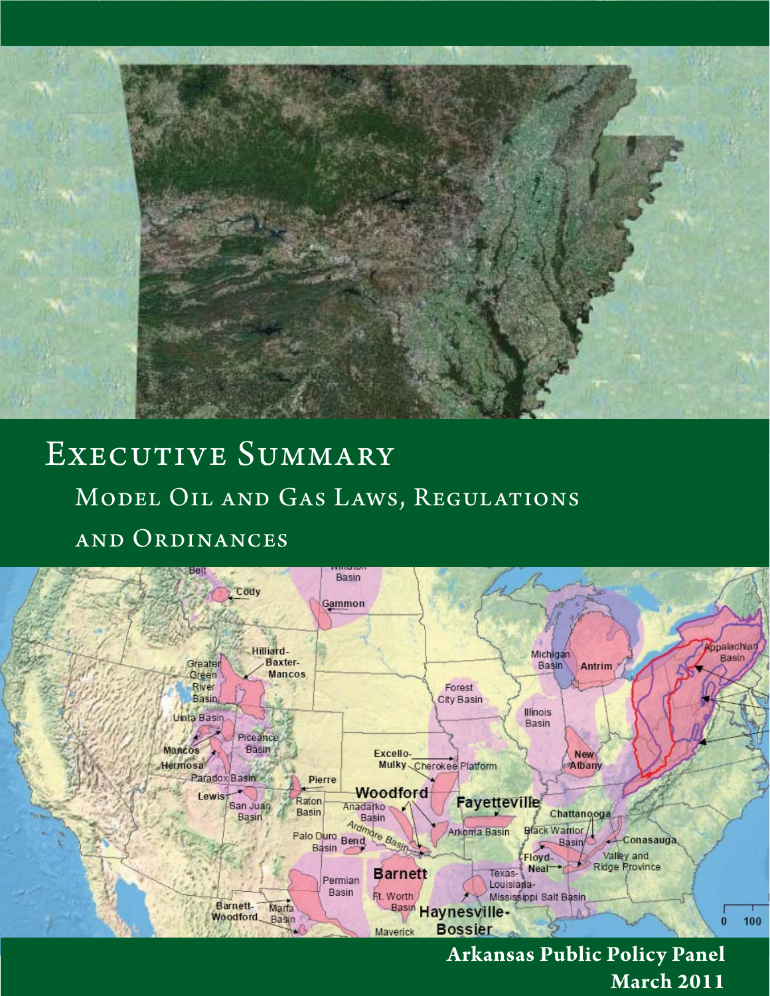

# EXECUTIVE SUMMARY Model Oil and Gas Laws, Regulations and Ordinances



**Arkansas Public Policy Panel March 2011**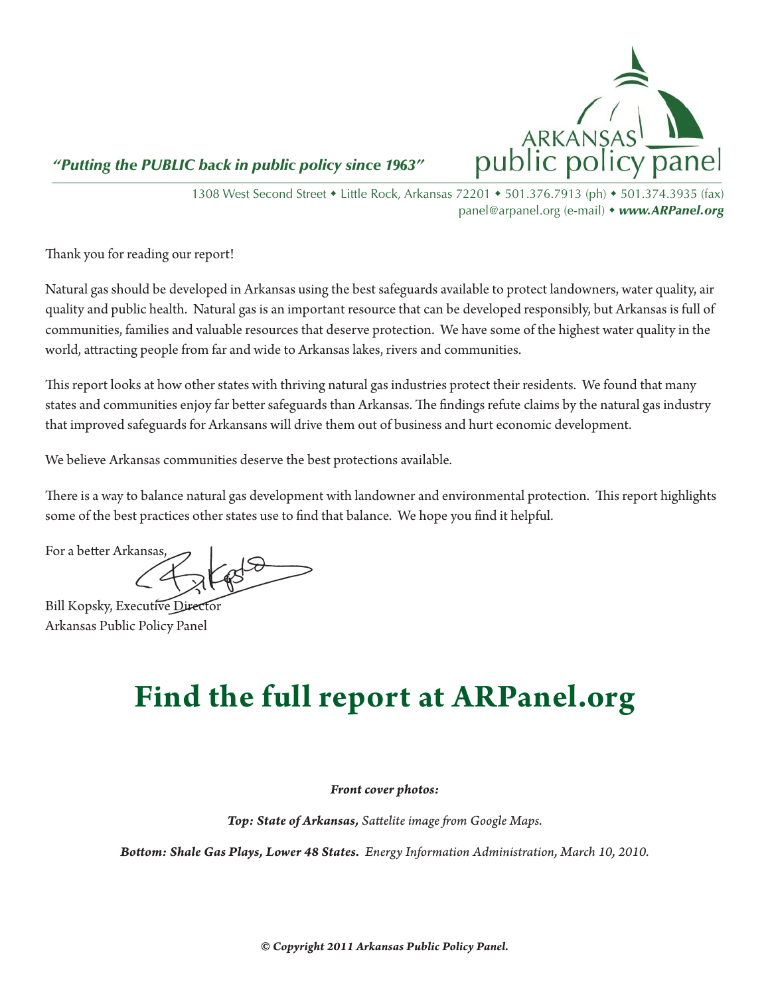

 *"Putting the PUBLIC back in public policy since 1963"*

1308 West Second Street • Little Rock, Arkansas 72201 • 501.376.7913 (ph) • 501.374.3935 (fax) panel@arpanel.org (e-mail) • www.ARPanel.org

Thank you for reading our report!

Natural gas should be developed in Arkansas using the best safeguards available to protect landowners, water quality, air quality and public health. Natural gas is an important resource that can be developed responsibly, but Arkansas is full of communities, families and valuable resources that deserve protection. We have some of the highest water quality in the world, attracting people from far and wide to Arkansas lakes, rivers and communities.

This report looks at how other states with thriving natural gas industries protect their residents. We found that many states and communities enjoy far better safeguards than Arkansas. The findings refute claims by the natural gas industry that improved safeguards for Arkansans will drive them out of business and hurt economic development.

We believe Arkansas communities deserve the best protections available.

There is a way to balance natural gas development with landowner and environmental protection. This report highlights some of the best practices other states use to find that balance. We hope you find it helpful.

For a better Arkansas,

Bill Kopsky, Executive Director Arkansas Public Policy Panel

## **Find the full report at ARPanel.org**

*Front cover photos:*

**Top: State of Arkansas, Sattelite image from Google Maps.** 

*Bott om: Shale Gas Plays, Lower 48 States. Energy Information Administration, March 10, 2010.*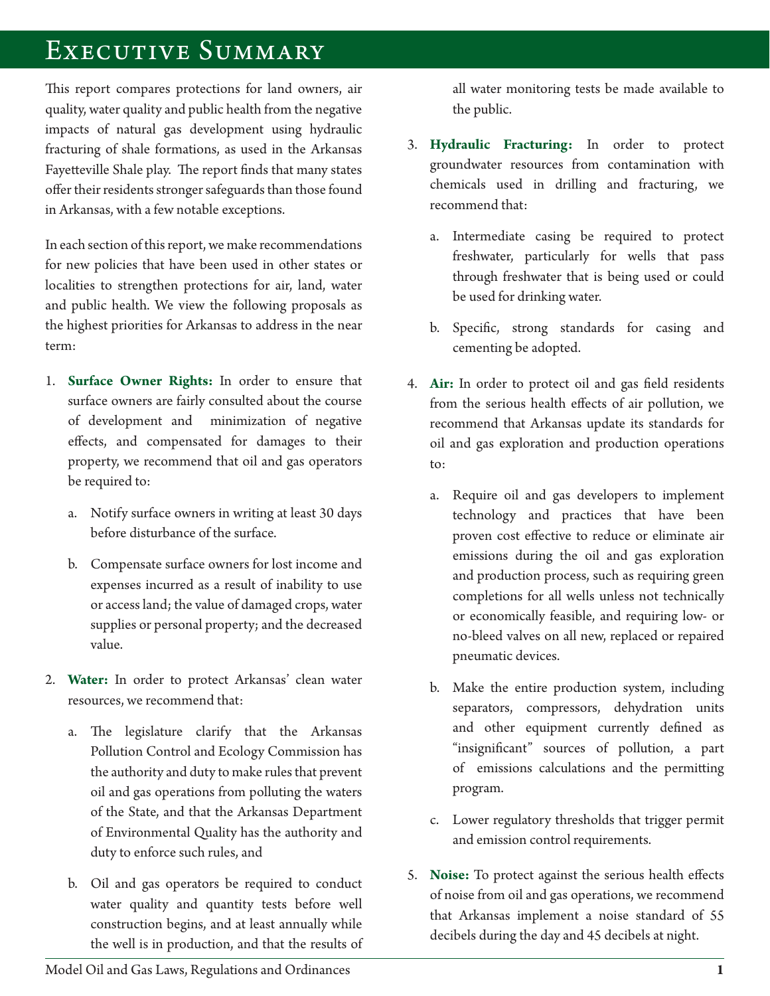### Executive Summary

This report compares protections for land owners, air quality, water quality and public health from the negative impacts of natural gas development using hydraulic fracturing of shale formations, as used in the Arkansas Fayetteville Shale play. The report finds that many states offer their residents stronger safeguards than those found in Arkansas, with a few notable exceptions.

In each section of this report, we make recommendations for new policies that have been used in other states or localities to strengthen protections for air, land, water and public health. We view the following proposals as the highest priorities for Arkansas to address in the near term:

- 1. **Surface Owner Rights:** In order to ensure that surface owners are fairly consulted about the course of development and minimization of negative effects, and compensated for damages to their property, we recommend that oil and gas operators be required to:
	- a. Notify surface owners in writing at least 30 days before disturbance of the surface.
	- b. Compensate surface owners for lost income and expenses incurred as a result of inability to use or access land; the value of damaged crops, water supplies or personal property; and the decreased value.
- 2. Water: In order to protect Arkansas' clean water resources, we recommend that:
	- a. The legislature clarify that the Arkansas Pollution Control and Ecology Commission has the authority and duty to make rules that prevent oil and gas operations from polluting the waters of the State, and that the Arkansas Department of Environmental Quality has the authority and duty to enforce such rules, and
	- b. Oil and gas operators be required to conduct water quality and quantity tests before well construction begins, and at least annually while the well is in production, and that the results of

all water monitoring tests be made available to the public.

- 3. Hydraulic Fracturing: In order to protect groundwater resources from contamination with chemicals used in drilling and fracturing, we recommend that:
	- a. Intermediate casing be required to protect freshwater, particularly for wells that pass through freshwater that is being used or could be used for drinking water.
	- b. Specific, strong standards for casing and cementing be adopted.
- 4. Air: In order to protect oil and gas field residents from the serious health effects of air pollution, we recommend that Arkansas update its standards for oil and gas exploration and production operations to:
	- a. Require oil and gas developers to implement technology and practices that have been proven cost effective to reduce or eliminate air emissions during the oil and gas exploration and production process, such as requiring green completions for all wells unless not technically or economically feasible, and requiring low- or no-bleed valves on all new, replaced or repaired pneumatic devices.
	- b. Make the entire production system, including separators, compressors, dehydration units and other equipment currently defined as "insignificant" sources of pollution, a part of emissions calculations and the permitting program.
	- c. Lower regulatory thresholds that trigger permit and emission control requirements.
- 5. Noise: To protect against the serious health effects of noise from oil and gas operations, we recommend that Arkansas implement a noise standard of 55 decibels during the day and 45 decibels at night.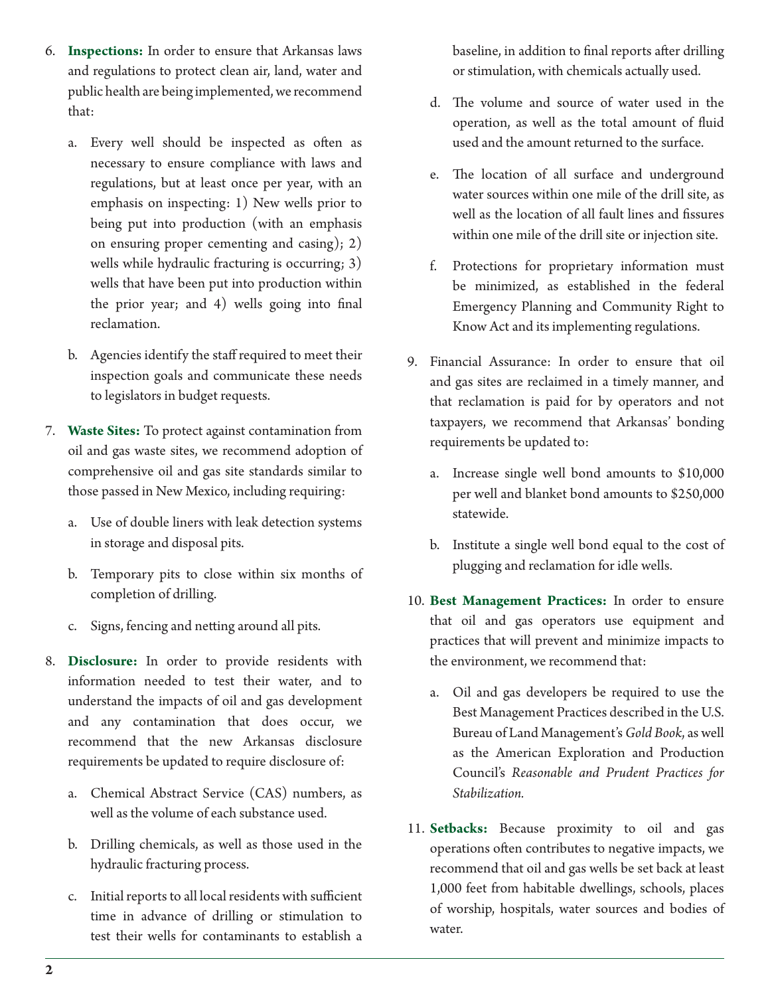- 6. Inspections: In order to ensure that Arkansas laws and regulations to protect clean air, land, water and public health are being implemented, we recommend that:
	- a. Every well should be inspected as often as necessary to ensure compliance with laws and regulations, but at least once per year, with an emphasis on inspecting: 1) New wells prior to being put into production (with an emphasis on ensuring proper cementing and casing); 2) wells while hydraulic fracturing is occurring; 3) wells that have been put into production within the prior year; and  $4)$  wells going into final reclamation.
	- b. Agencies identify the staff required to meet their inspection goals and communicate these needs to legislators in budget requests.
- 7. Waste Sites: To protect against contamination from oil and gas waste sites, we recommend adoption of comprehensive oil and gas site standards similar to those passed in New Mexico, including requiring:
	- a. Use of double liners with leak detection systems in storage and disposal pits.
	- b. Temporary pits to close within six months of completion of drilling.
	- c. Signs, fencing and netting around all pits.
- 8. Disclosure: In order to provide residents with information needed to test their water, and to understand the impacts of oil and gas development and any contamination that does occur, we recommend that the new Arkansas disclosure requirements be updated to require disclosure of:
	- a. Chemical Abstract Service (CAS) numbers, as well as the volume of each substance used.
	- b. Drilling chemicals, as well as those used in the hydraulic fracturing process.
	- c. Initial reports to all local residents with sufficient time in advance of drilling or stimulation to test their wells for contaminants to establish a

baseline, in addition to final reports after drilling or stimulation, with chemicals actually used.

- d. The volume and source of water used in the operation, as well as the total amount of fluid used and the amount returned to the surface.
- e. The location of all surface and underground water sources within one mile of the drill site, as well as the location of all fault lines and fissures within one mile of the drill site or injection site.
- f. Protections for proprietary information must be minimized, as established in the federal Emergency Planning and Community Right to Know Act and its implementing regulations.
- 9. Financial Assurance: In order to ensure that oil and gas sites are reclaimed in a timely manner, and that reclamation is paid for by operators and not taxpayers, we recommend that Arkansas' bonding requirements be updated to:
	- a. Increase single well bond amounts to \$10,000 per well and blanket bond amounts to \$250,000 statewide.
	- b. Institute a single well bond equal to the cost of plugging and reclamation for idle wells.
- 10. Best Management Practices: In order to ensure that oil and gas operators use equipment and practices that will prevent and minimize impacts to the environment, we recommend that:
	- a. Oil and gas developers be required to use the Best Management Practices described in the U.S. Bureau of Land Management's *Gold Book*, as well as the American Exploration and Production Council's *Reasonable and Prudent Practices for Stabilization.*
- 11. Setbacks: Because proximity to oil and gas operations often contributes to negative impacts, we recommend that oil and gas wells be set back at least 1,000 feet from habitable dwellings, schools, places of worship, hospitals, water sources and bodies of water.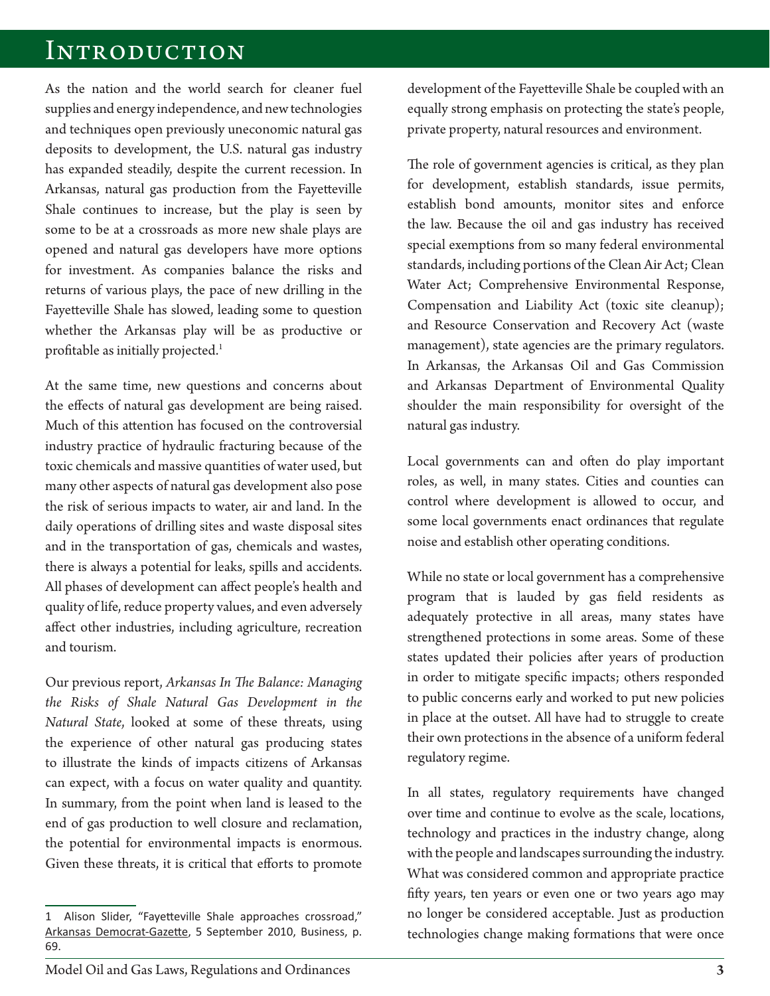#### Introduction

As the nation and the world search for cleaner fuel supplies and energy independence, and new technologies and techniques open previously uneconomic natural gas deposits to development, the U.S. natural gas industry has expanded steadily, despite the current recession. In Arkansas, natural gas production from the Fayetteville Shale continues to increase, but the play is seen by some to be at a crossroads as more new shale plays are opened and natural gas developers have more options for investment. As companies balance the risks and returns of various plays, the pace of new drilling in the Fayetteville Shale has slowed, leading some to question whether the Arkansas play will be as productive or profitable as initially projected.<sup>1</sup>

At the same time, new questions and concerns about the effects of natural gas development are being raised. Much of this attention has focused on the controversial industry practice of hydraulic fracturing because of the toxic chemicals and massive quantities of water used, but many other aspects of natural gas development also pose the risk of serious impacts to water, air and land. In the daily operations of drilling sites and waste disposal sites and in the transportation of gas, chemicals and wastes, there is always a potential for leaks, spills and accidents. All phases of development can affect people's health and quality of life, reduce property values, and even adversely affect other industries, including agriculture, recreation and tourism.

Our previous report, Arkansas In The Balance: Managing *the Risks of Shale Natural Gas Development in the Natural State*, looked at some of these threats, using the experience of other natural gas producing states to illustrate the kinds of impacts citizens of Arkansas can expect, with a focus on water quality and quantity. In summary, from the point when land is leased to the end of gas production to well closure and reclamation, the potential for environmental impacts is enormous. Given these threats, it is critical that efforts to promote development of the Fayetteville Shale be coupled with an equally strong emphasis on protecting the state's people, private property, natural resources and environment.

The role of government agencies is critical, as they plan for development, establish standards, issue permits, establish bond amounts, monitor sites and enforce the law. Because the oil and gas industry has received special exemptions from so many federal environmental standards, including portions of the Clean Air Act; Clean Water Act; Comprehensive Environmental Response, Compensation and Liability Act (toxic site cleanup); and Resource Conservation and Recovery Act (waste management), state agencies are the primary regulators. In Arkansas, the Arkansas Oil and Gas Commission and Arkansas Department of Environmental Quality shoulder the main responsibility for oversight of the natural gas industry.

Local governments can and often do play important roles, as well, in many states. Cities and counties can control where development is allowed to occur, and some local governments enact ordinances that regulate noise and establish other operating conditions.

While no state or local government has a comprehensive program that is lauded by gas field residents as adequately protective in all areas, many states have strengthened protections in some areas. Some of these states updated their policies after years of production in order to mitigate specific impacts; others responded to public concerns early and worked to put new policies in place at the outset. All have had to struggle to create their own protections in the absence of a uniform federal regulatory regime.

In all states, regulatory requirements have changed over time and continue to evolve as the scale, locations, technology and practices in the industry change, along with the people and landscapes surrounding the industry. What was considered common and appropriate practice fifty years, ten years or even one or two years ago may no longer be considered acceptable. Just as production technologies change making formations that were once

<sup>1</sup> Alison Slider, "Fayetteville Shale approaches crossroad," Arkansas Democrat-Gazette, 5 September 2010, Business, p. 69.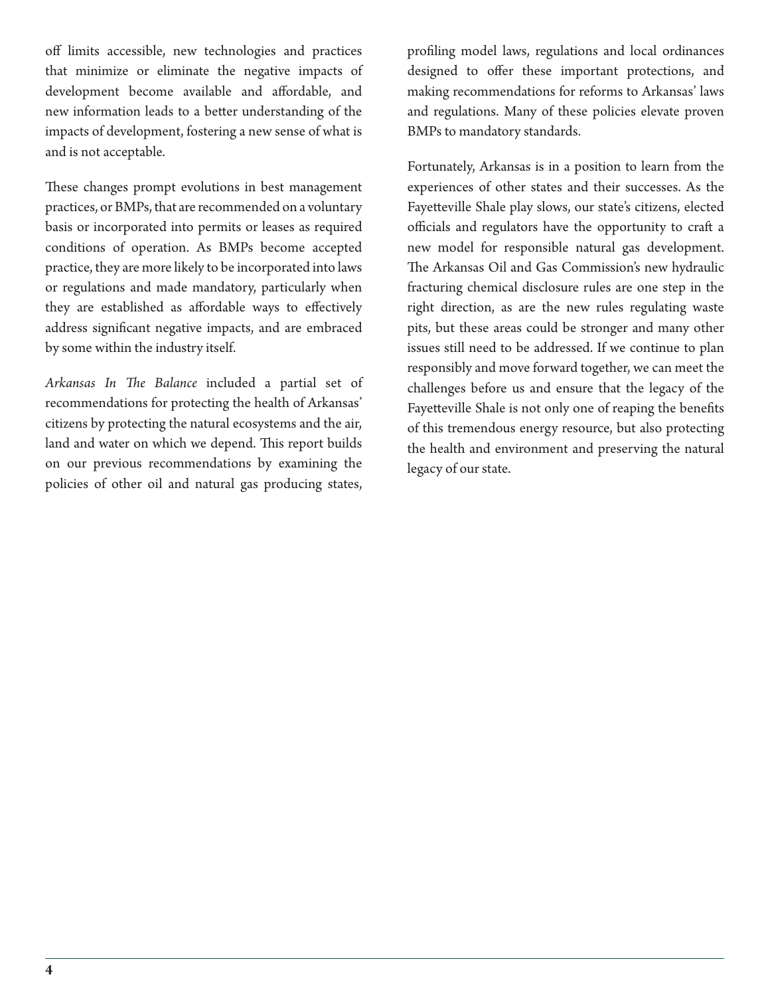off limits accessible, new technologies and practices that minimize or eliminate the negative impacts of development become available and affordable, and new information leads to a better understanding of the impacts of development, fostering a new sense of what is and is not acceptable.

These changes prompt evolutions in best management practices, or BMPs, that are recommended on a voluntary basis or incorporated into permits or leases as required conditions of operation. As BMPs become accepted practice, they are more likely to be incorporated into laws or regulations and made mandatory, particularly when they are established as affordable ways to effectively address significant negative impacts, and are embraced by some within the industry itself.

Arkansas In The Balance included a partial set of recommendations for protecting the health of Arkansas' citizens by protecting the natural ecosystems and the air, land and water on which we depend. This report builds on our previous recommendations by examining the policies of other oil and natural gas producing states,

profiling model laws, regulations and local ordinances designed to offer these important protections, and making recommendations for reforms to Arkansas' laws and regulations. Many of these policies elevate proven BMPs to mandatory standards.

Fortunately, Arkansas is in a position to learn from the experiences of other states and their successes. As the Fayetteville Shale play slows, our state's citizens, elected officials and regulators have the opportunity to craft a new model for responsible natural gas development. The Arkansas Oil and Gas Commission's new hydraulic fracturing chemical disclosure rules are one step in the right direction, as are the new rules regulating waste pits, but these areas could be stronger and many other issues still need to be addressed. If we continue to plan responsibly and move forward together, we can meet the challenges before us and ensure that the legacy of the Fayetteville Shale is not only one of reaping the benefits of this tremendous energy resource, but also protecting the health and environment and preserving the natural legacy of our state.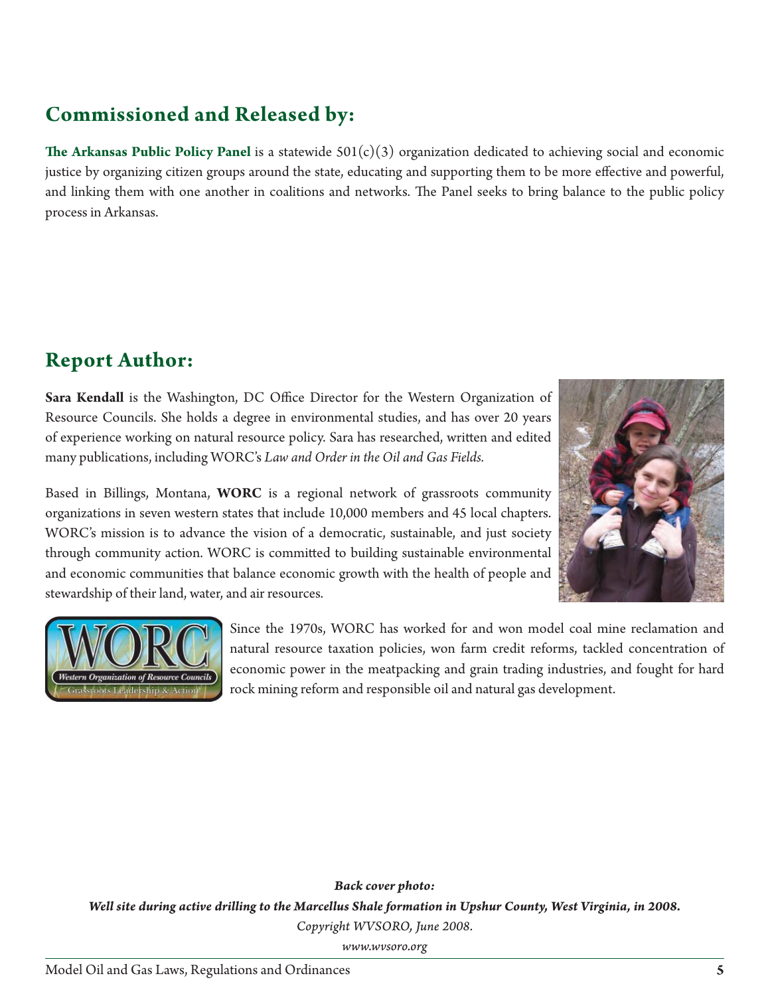#### **Commissioned and Released by:**

**The Arkansas Public Policy Panel** is a statewide  $501(c)(3)$  organization dedicated to achieving social and economic justice by organizing citizen groups around the state, educating and supporting them to be more effective and powerful, and linking them with one another in coalitions and networks. The Panel seeks to bring balance to the public policy process in Arkansas.

#### **Report Author:**

**Sara Kendall** is the Washington, DC Office Director for the Western Organization of Resource Councils. She holds a degree in environmental studies, and has over 20 years of experience working on natural resource policy. Sara has researched, written and edited many publications, including WORC's *Law and Order in the Oil and Gas Fields.*

Based in Billings, Montana, **WORC** is a regional network of grassroots community organizations in seven western states that include 10,000 members and 45 local chapters. WORC's mission is to advance the vision of a democratic, sustainable, and just society through community action. WORC is committed to building sustainable environmental and economic communities that balance economic growth with the health of people and stewardship of their land, water, and air resources.





Since the 1970s, WORC has worked for and won model coal mine reclamation and natural resource taxation policies, won farm credit reforms, tackled concentration of economic power in the meatpacking and grain trading industries, and fought for hard rock mining reform and responsible oil and natural gas development.

*Back cover photo: Well site during active drilling to the Marcellus Shale formation in Upshur County, West Virginia, in 2008. Copyright WVSORO, June 2008.*

*www.wvsoro.org*